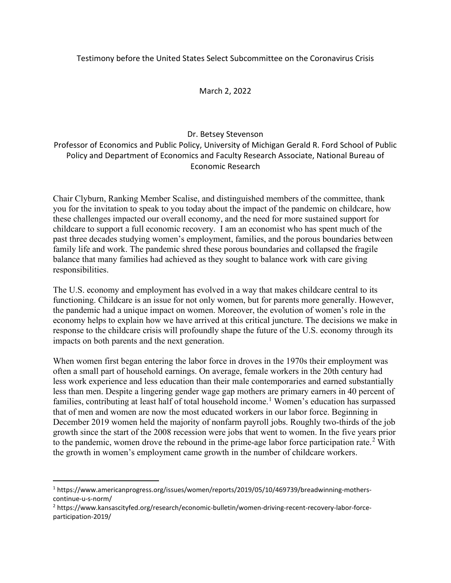### Testimony before the United States Select Subcommittee on the Coronavirus Crisis

### March 2, 2022

### Dr. Betsey Stevenson

Professor of Economics and Public Policy, University of Michigan Gerald R. Ford School of Public Policy and Department of Economics and Faculty Research Associate, National Bureau of Economic Research

Chair Clyburn, Ranking Member Scalise, and distinguished members of the committee, thank you for the invitation to speak to you today about the impact of the pandemic on childcare, how these challenges impacted our overall economy, and the need for more sustained support for childcare to support a full economic recovery. I am an economist who has spent much of the past three decades studying women's employment, families, and the porous boundaries between family life and work. The pandemic shred these porous boundaries and collapsed the fragile balance that many families had achieved as they sought to balance work with care giving responsibilities.

The U.S. economy and employment has evolved in a way that makes childcare central to its functioning. Childcare is an issue for not only women, but for parents more generally. However, the pandemic had a unique impact on women. Moreover, the evolution of women's role in the economy helps to explain how we have arrived at this critical juncture. The decisions we make in response to the childcare crisis will profoundly shape the future of the U.S. economy through its impacts on both parents and the next generation.

When women first began entering the labor force in droves in the 1970s their employment was often a small part of household earnings. On average, female workers in the 20th century had less work experience and less education than their male contemporaries and earned substantially less than men. Despite a lingering gender wage gap mothers are primary earners in 40 percent of families, contributing at least half of total household income.<sup>[1](#page-0-0)</sup> Women's education has surpassed that of men and women are now the most educated workers in our labor force. Beginning in December 2019 women held the majority of nonfarm payroll jobs. Roughly two-thirds of the job growth since the start of the 2008 recession were jobs that went to women. In the five years prior to the pandemic, women drove the rebound in the prime-age labor force participation rate.<sup>[2](#page-0-1)</sup> With the growth in women's employment came growth in the number of childcare workers.

<span id="page-0-0"></span><sup>1</sup> https://www.americanprogress.org/issues/women/reports/2019/05/10/469739/breadwinning-motherscontinue-u-s-norm/

<span id="page-0-1"></span><sup>2</sup> https://www.kansascityfed.org/research/economic-bulletin/women-driving-recent-recovery-labor-forceparticipation-2019/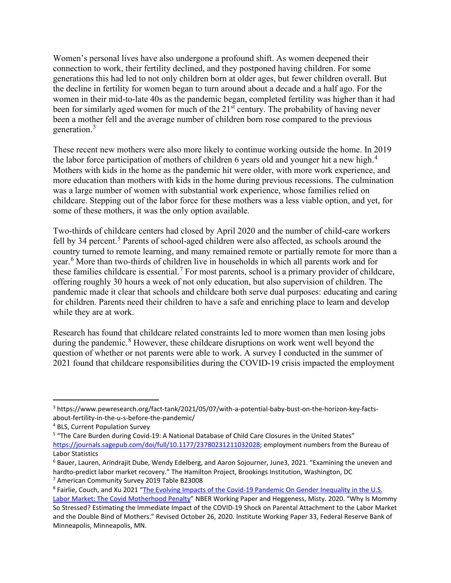Women's personal lives have also undergone a profound shift. As women deepened their connection to work, their fertility declined, and they postponed having children. For some generations this had led to not only children born at older ages, but fewer children overall. But the decline in fertility for women began to turn around about a decade and a half ago. For the women in their mid-to-late 40s as the pandemic began, completed fertility was higher than it had been for similarly aged women for much of the 21<sup>st</sup> century. The probability of having never been a mother fell and the average number of children born rose compared to the previous generation. [3](#page-1-0)

These recent new mothers were also more likely to continue working outside the home. In 2019 the labor force participation of mothers of children 6 years old and younger hit a new high.<sup>[4](#page-1-1)</sup> Mothers with kids in the home as the pandemic hit were older, with more work experience, and more education than mothers with kids in the home during previous recessions. The culmination was a large number of women with substantial work experience, whose families relied on childcare. Stepping out of the labor force for these mothers was a less viable option, and yet, for some of these mothers, it was the only option available.

Two-thirds of childcare centers had closed by April 2020 and the number of child-care workers fell by 34 percent.<sup>[5](#page-1-2)</sup> Parents of school-aged children were also affected, as schools around the country turned to remote learning, and many remained remote or partially remote for more than a year.[6](#page-1-3) More than two-thirds of children live in households in which all parents work and for these families childcare is essential.<sup>[7](#page-1-4)</sup> For most parents, school is a primary provider of childcare, offering roughly 30 hours a week of not only education, but also supervision of children. The pandemic made it clear that schools and childcare both serve dual purposes: educating and caring for children. Parents need their children to have a safe and enriching place to learn and develop while they are at work.

Research has found that childcare related constraints led to more women than men losing jobs during the pandemic.<sup>[8](#page-1-5)</sup> However, these childcare disruptions on work went well beyond the question of whether or not parents were able to work. A survey I conducted in the summer of 2021 found that childcare responsibilities during the COVID-19 crisis impacted the employment

<span id="page-1-0"></span><sup>3</sup> https://www.pewresearch.org/fact-tank/2021/05/07/with-a-potential-baby-bust-on-the-horizon-key-factsabout-fertility-in-the-u-s-before-the-pandemic/

<span id="page-1-1"></span><sup>4</sup> BLS, Current Population Survey

<span id="page-1-2"></span><sup>5</sup> "The Care Burden during Covid-19: A National Database of Child Care Closures in the United States" [https://journals.sagepub.com/doi/full/10.1177/23780231211032028;](https://journals.sagepub.com/doi/full/10.1177/23780231211032028) employment numbers from the Bureau of Labor Statistics

<span id="page-1-3"></span><sup>6</sup> Bauer, Lauren, Arindrajit Dube, Wendy Edelberg, and Aaron Sojourner, June3, 2021. "Examining the uneven and hardto-predict labor market recovery." The Hamilton Project, Brookings Institution, Washington, DC

<span id="page-1-4"></span><sup>7</sup> American Community Survey 2019 Table B23008

<span id="page-1-5"></span><sup>8</sup> Fairlie, Couch, and Xu 2021 ["The Evolving Impacts of the Covid-19 Pandemic On Gender Inequality in the U.S.](https://www.nber.org/system/files/working_papers/w29426/w29426.pdf)  [Labor Market: The Covid Motherhood Penalty"](https://www.nber.org/system/files/working_papers/w29426/w29426.pdf) NBER Working Paper and Heggeness, Misty. 2020. "Why Is Mommy So Stressed? Estimating the Immediate Impact of the COVID-19 Shock on Parental Attachment to the Labor Market and the Double Bind of Mothers." Revised October 26, 2020. Institute Working Paper 33, Federal Reserve Bank of Minneapolis, Minneapolis, MN.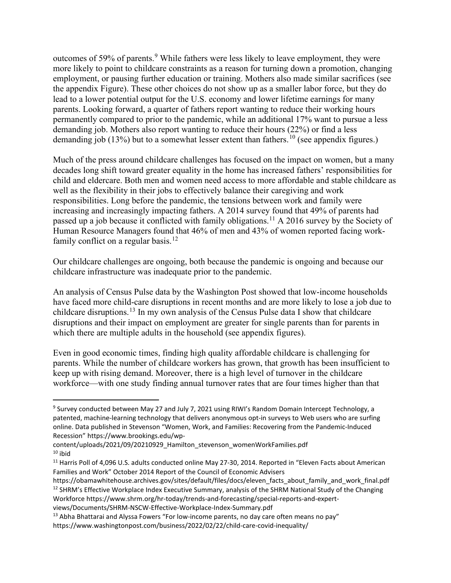outcomes of 5[9](#page-2-0)% of parents.<sup>9</sup> While fathers were less likely to leave employment, they were more likely to point to childcare constraints as a reason for turning down a promotion, changing employment, or pausing further education or training. Mothers also made similar sacrifices (see the appendix Figure). These other choices do not show up as a smaller labor force, but they do lead to a lower potential output for the U.S. economy and lower lifetime earnings for many parents. Looking forward, a quarter of fathers report wanting to reduce their working hours permanently compared to prior to the pandemic, while an additional 17% want to pursue a less demanding job. Mothers also report wanting to reduce their hours (22%) or find a less demanding job (13%) but to a somewhat lesser extent than fathers.<sup>[10](#page-2-1)</sup> (see appendix figures.)

Much of the press around childcare challenges has focused on the impact on women, but a many decades long shift toward greater equality in the home has increased fathers' responsibilities for child and eldercare. Both men and women need access to more affordable and stable childcare as well as the flexibility in their jobs to effectively balance their caregiving and work responsibilities. Long before the pandemic, the tensions between work and family were increasing and increasingly impacting fathers. A 2014 survey found that 49% of parents had passed up a job because it conflicted with family obligations.<sup>[11](#page-2-2)</sup> A 2016 survey by the Society of Human Resource Managers found that 46% of men and 43% of women reported facing work-family conflict on a regular basis.<sup>[12](#page-2-3)</sup>

Our childcare challenges are ongoing, both because the pandemic is ongoing and because our childcare infrastructure was inadequate prior to the pandemic.

An analysis of Census Pulse data by the Washington Post showed that low-income households have faced more child-care disruptions in recent months and are more likely to lose a job due to childcare disruptions.<sup>[13](#page-2-4)</sup> In my own analysis of the Census Pulse data I show that childcare disruptions and their impact on employment are greater for single parents than for parents in which there are multiple adults in the household (see appendix figures).

Even in good economic times, finding high quality affordable childcare is challenging for parents. While the number of childcare workers has grown, that growth has been insufficient to keep up with rising demand. Moreover, there is a high level of turnover in the childcare workforce—with one study finding annual turnover rates that are four times higher than that

<span id="page-2-0"></span><sup>&</sup>lt;sup>9</sup> Survey conducted between May 27 and July 7, 2021 using RIWI's Random Domain Intercept Technology, a patented, machine-learning technology that delivers anonymous opt-in surveys to Web users who are surfing online. Data published in Stevenson "Women, Work, and Families: Recovering from the Pandemic-Induced Recession" https://www.brookings.edu/wp-

<span id="page-2-1"></span>content/uploads/2021/09/20210929\_Hamilton\_stevenson\_womenWorkFamilies.pdf  $10$  ibid

<span id="page-2-2"></span><sup>&</sup>lt;sup>11</sup> Harris Poll of 4,096 U.S. adults conducted online May 27-30, 2014. Reported in "Eleven Facts about American Families and Work" October 2014 Report of the Council of Economic Advisers

<span id="page-2-3"></span>https://obamawhitehouse.archives.gov/sites/default/files/docs/eleven\_facts\_about\_family\_and\_work\_final.pdf  $12$  SHRM's Effective Workplace Index Executive Summary, analysis of the SHRM National Study of the Changing Workforce https://www.shrm.org/hr-today/trends-and-forecasting/special-reports-and-expertviews/Documents/SHRM-NSCW-Effective-Workplace-Index-Summary.pdf

<span id="page-2-4"></span> $13$  Abha Bhattarai and Alyssa Fowers "For low-income parents, no day care often means no pay" https://www.washingtonpost.com/business/2022/02/22/child-care-covid-inequality/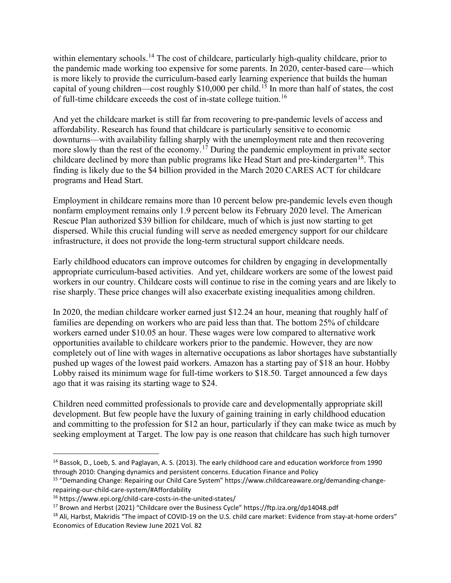within elementary schools.<sup>[14](#page-3-0)</sup> The cost of childcare, particularly high-quality childcare, prior to the pandemic made working too expensive for some parents. In 2020, center-based care—which is more likely to provide the curriculum-based early learning experience that builds the human capital of young children—cost roughly  $$10,000$  per child.<sup>[15](#page-3-1)</sup> In more than half of states, the cost of full-time childcare exceeds the cost of in-state college tuition.[16](#page-3-2)

And yet the childcare market is still far from recovering to pre-pandemic levels of access and affordability. Research has found that childcare is particularly sensitive to economic downturns—with availability falling sharply with the unemployment rate and then recovering more slowly than the rest of the economy.<sup>[17](#page-3-3)</sup> During the pandemic employment in private sector childcare declined by more than public programs like Head Start and pre-kindergarten<sup>[18](#page-3-4)</sup>. This finding is likely due to the \$4 billion provided in the March 2020 CARES ACT for childcare programs and Head Start.

Employment in childcare remains more than 10 percent below pre-pandemic levels even though nonfarm employment remains only 1.9 percent below its February 2020 level. The American Rescue Plan authorized \$39 billion for childcare, much of which is just now starting to get dispersed. While this crucial funding will serve as needed emergency support for our childcare infrastructure, it does not provide the long-term structural support childcare needs.

Early childhood educators can improve outcomes for children by engaging in developmentally appropriate curriculum-based activities. And yet, childcare workers are some of the lowest paid workers in our country. Childcare costs will continue to rise in the coming years and are likely to rise sharply. These price changes will also exacerbate existing inequalities among children.

In 2020, the median childcare worker earned just \$12.24 an hour, meaning that roughly half of families are depending on workers who are paid less than that. The bottom 25% of childcare workers earned under \$10.05 an hour. These wages were low compared to alternative work opportunities available to childcare workers prior to the pandemic. However, they are now completely out of line with wages in alternative occupations as labor shortages have substantially pushed up wages of the lowest paid workers. Amazon has a starting pay of \$18 an hour. Hobby Lobby raised its minimum wage for full-time workers to \$18.50. Target announced a few days ago that it was raising its starting wage to \$24.

Children need committed professionals to provide care and developmentally appropriate skill development. But few people have the luxury of gaining training in early childhood education and committing to the profession for \$12 an hour, particularly if they can make twice as much by seeking employment at Target. The low pay is one reason that childcare has such high turnover

<span id="page-3-0"></span><sup>14</sup> Bassok, D., Loeb, S. and Paglayan, A. S. (2013). The early childhood care and education workforce from 1990 through 2010: Changing dynamics and persistent concerns. Education Finance and Policy

<span id="page-3-1"></span><sup>15</sup> "Demanding Change: Repairing our Child Care System" https://www.childcareaware.org/demanding-changerepairing-our-child-care-system/#Affordability

<span id="page-3-2"></span><sup>16</sup> https://www.epi.org/child-care-costs-in-the-united-states/

<span id="page-3-3"></span><sup>&</sup>lt;sup>17</sup> Brown and Herbst (2021) "Childcare over the Business Cycle" https://ftp.iza.org/dp14048.pdf

<span id="page-3-4"></span><sup>&</sup>lt;sup>18</sup> Ali, Harbst, Makridis "The impact of COVID-19 on the U.S. child care market: Evidence from stay-at-home orders" Economics of Education Review June 2021 Vol. 82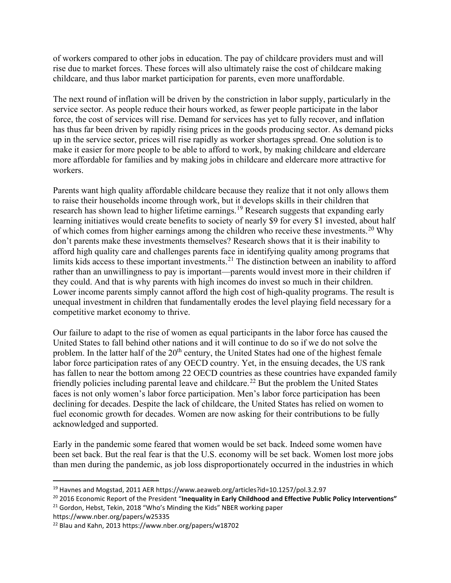of workers compared to other jobs in education. The pay of childcare providers must and will rise due to market forces. These forces will also ultimately raise the cost of childcare making childcare, and thus labor market participation for parents, even more unaffordable.

The next round of inflation will be driven by the constriction in labor supply, particularly in the service sector. As people reduce their hours worked, as fewer people participate in the labor force, the cost of services will rise. Demand for services has yet to fully recover, and inflation has thus far been driven by rapidly rising prices in the goods producing sector. As demand picks up in the service sector, prices will rise rapidly as worker shortages spread. One solution is to make it easier for more people to be able to afford to work, by making childcare and eldercare more affordable for families and by making jobs in childcare and eldercare more attractive for workers.

Parents want high quality affordable childcare because they realize that it not only allows them to raise their households income through work, but it develops skills in their children that research has shown lead to higher lifetime earnings.<sup>[19](#page-4-0)</sup> Research suggests that expanding early learning initiatives would create benefits to society of nearly \$9 for every \$1 invested, about half of which comes from higher earnings among the children who receive these investments.<sup>[20](#page-4-1)</sup> Why don't parents make these investments themselves? Research shows that it is their inability to afford high quality care and challenges parents face in identifying quality among programs that limits kids access to these important investments.<sup>[21](#page-4-2)</sup> The distinction between an inability to afford rather than an unwillingness to pay is important—parents would invest more in their children if they could. And that is why parents with high incomes do invest so much in their children. Lower income parents simply cannot afford the high cost of high-quality programs. The result is unequal investment in children that fundamentally erodes the level playing field necessary for a competitive market economy to thrive.

Our failure to adapt to the rise of women as equal participants in the labor force has caused the United States to fall behind other nations and it will continue to do so if we do not solve the problem. In the latter half of the  $20<sup>th</sup>$  century, the United States had one of the highest female labor force participation rates of any OECD country. Yet, in the ensuing decades, the US rank has fallen to near the bottom among 22 OECD countries as these countries have expanded family friendly policies including parental leave and childcare.<sup>[22](#page-4-3)</sup> But the problem the United States faces is not only women's labor force participation. Men's labor force participation has been declining for decades. Despite the lack of childcare, the United States has relied on women to fuel economic growth for decades. Women are now asking for their contributions to be fully acknowledged and supported.

Early in the pandemic some feared that women would be set back. Indeed some women have been set back. But the real fear is that the U.S. economy will be set back. Women lost more jobs than men during the pandemic, as job loss disproportionately occurred in the industries in which

https://www.nber.org/papers/w25335

<span id="page-4-0"></span><sup>19</sup> Havnes and Mogstad, 2011 AER https://www.aeaweb.org/articles?id=10.1257/pol.3.2.97

<span id="page-4-1"></span><sup>20</sup> 2016 Economic Report of the President "**Inequality in Early Childhood and Effective Public Policy Interventions"**

<span id="page-4-2"></span><sup>&</sup>lt;sup>21</sup> Gordon, Hebst, Tekin, 2018 "Who's Minding the Kids" NBER working paper

<span id="page-4-3"></span><sup>22</sup> Blau and Kahn, 2013 https://www.nber.org/papers/w18702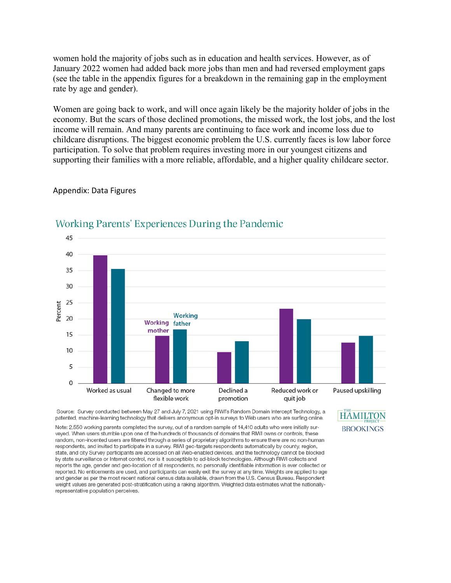women hold the majority of jobs such as in education and health services. However, as of January 2022 women had added back more jobs than men and had reversed employment gaps (see the table in the appendix figures for a breakdown in the remaining gap in the employment rate by age and gender).

Women are going back to work, and will once again likely be the majority holder of jobs in the economy. But the scars of those declined promotions, the missed work, the lost jobs, and the lost income will remain. And many parents are continuing to face work and income loss due to childcare disruptions. The biggest economic problem the U.S. currently faces is low labor force participation. To solve that problem requires investing more in our youngest citizens and supporting their families with a more reliable, affordable, and a higher quality childcare sector.

#### Appendix: Data Figures



## Working Parents' Experiences During the Pandemic

Source: Survey conducted between May 27 and July 7, 2021 using RIWI's Random Domain Intercept Technology, a patented, machine-learning technology that delivers anonymous opt-in surveys to Web users who are surfing online.

Note: 2,550 working parents completed the survey, out of a random sample of 14,410 adults who were initially surveyed. When users stumble upon one of the hundreds of thousands of domains that RIWI owns or controls, these random, non-incented users are filtered through a series of proprietary algorithms to ensure there are no non-human respondents, and invited to participate in a survey. RIWI geo-targets respondents automatically by county, region, state, and city Survey participants are accessed on all Web-enabled devices, and the technology cannot be blocked by state surveillance or Internet control, nor is it susceptible to ad-block technologies. Although RIWI collects and reports the age, gender and geo-location of all respondents, no personally identifiable information is ever collected or reported. No enticements are used, and participants can easily exit the survey at any time. Weights are applied to age and gender as per the most recent national census data available, drawn from the U.S. Census Bureau. Respondent weight values are generated post-stratification using a raking algorithm. Weighted data estimates what the nationallyrepresentative population perceives.

**HAMILTON BROOKINGS**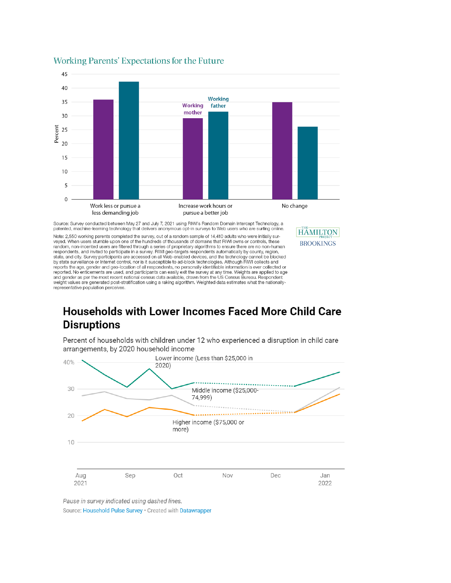

#### Working Parents' Expectations for the Future

Source: Survey conducted between May 27 and July 7, 2021 using RIWI's Random Domain Intercept Technology, a patented, machine-learning technology that delivers anonymous opt-in surveys to Web users who are surfing online.

Note: 2,550 working parents completed the survey, out of a random sample of 14,410 adults who were initially surveyed. When users stumble upon one of the hundreds of thousands of domains that RIWI owns or controls, these random, non-incented users are filtered through a series of proprietary algorithms to ensure there are no non-human<br>respondents, and invited to participate in a survey. RIWI geo-targets respondents automatically by county, by state surveillance or Internet control, nor is it susceptible to ad-block technologies. Although RIWI collects and reports the age, gender and geo-location of all respondents, no personally identifiable information is ever collected or<br>reported. No enticements are used, and participants can easily exit the survey at any time. Weights a and gender as per the most recent national census data available, drawn from the US Census Bureau. Respondent<br>weight values are generated post-stratification using a raking algorithm. Weighted data estimates what the natio representative population perceives.

# **Households with Lower Incomes Faced More Child Care Disruptions**

**HAMILTON** 

**BROOKINGS** 

Percent of households with children under 12 who experienced a disruption in child care arrangements, by 2020 household income



Pause in survey indicated using dashed lines.

Source: Household Pulse Survey · Created with Datawrapper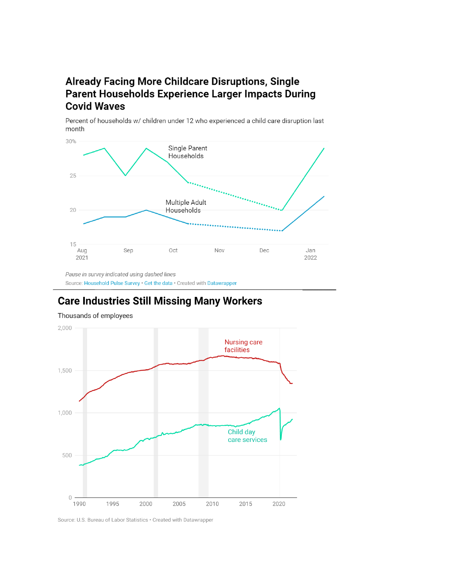## **Already Facing More Childcare Disruptions, Single** Parent Households Experience Larger Impacts During **Covid Waves**

Percent of households w/ children under 12 who experienced a child care disruption last month



Pause in survey indicated using dashed lines Source: Household Pulse Survey · Get the data · Created with Datawrapper

# **Care Industries Still Missing Many Workers**



Thousands of employees

Source: U.S. Bureau of Labor Statistics · Created with Datawrapper